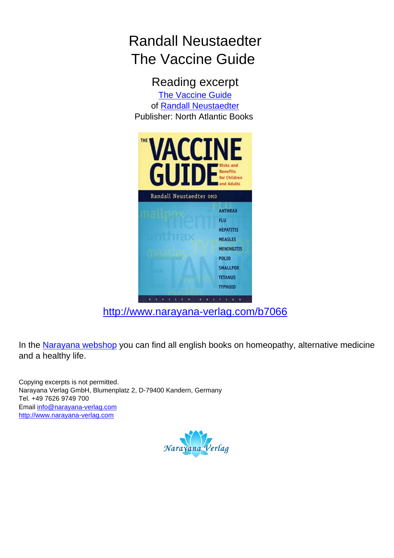## Randall Neustaedter The Vaccine Guide

Reading excerpt [The Vaccine Guide](http://www.narayana-verlag.com/The-Vaccine-Guide-Randall-Neustaedter/b7066/partner/leseprobe) of [Randall Neustaedter](http://www.narayana-verlag.com/Randall-Neustaedter/a1262/partner/leseprobe) Publisher: North Atlantic Books



[http://www.narayana-verlag.com/b7066](http://www.narayana-verlag.com/The-Vaccine-Guide-Randall-Neustaedter/b7066/partner/leseprobe)

In the [Narayana webshop](http://www.narayana-verlag.com/partner/leseprobe) you can find all english books on homeopathy, alternative medicine and a healthy life.

Copying excerpts is not permitted. Narayana Verlag GmbH, Blumenplatz 2, D-79400 Kandern, Germany Tel. +49 7626 9749 700 Email [info@narayana-verlag.com](mailto:info@narayana-verlag.com) [http://www.narayana-verlag.com](http://www.narayana-verlag.com/partner/leseprobe)

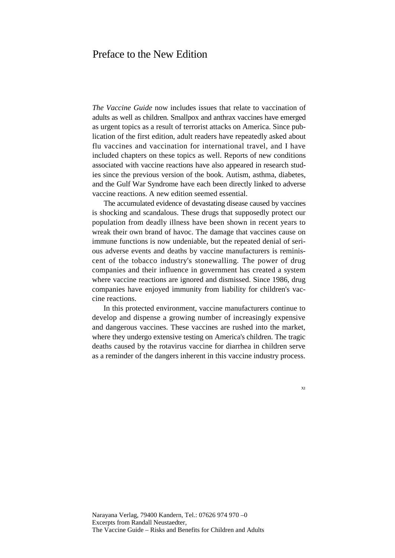## Preface to the New Edition

*The Vaccine Guide* now includes issues that relate to vaccination of adults as well as children. Smallpox and anthrax vaccines have emerged as urgent topics as a result of terrorist attacks on America. Since publication of the first edition, adult readers have repeatedly asked about flu vaccines and vaccination for international travel, and I have included chapters on these topics as well. Reports of new conditions associated with vaccine reactions have also appeared in research studies since the previous version of the book. Autism, asthma, diabetes, and the Gulf War Syndrome have each been directly linked to adverse vaccine reactions. A new edition seemed essential.

The accumulated evidence of devastating disease caused by vaccines is shocking and scandalous. These drugs that supposedly protect our population from deadly illness have been shown in recent years to wreak their own brand of havoc. The damage that vaccines cause on immune functions is now undeniable, but the repeated denial of serious adverse events and deaths by vaccine manufacturers is reminiscent of the tobacco industry's stonewalling. The power of drug companies and their influence in government has created a system where vaccine reactions are ignored and dismissed. Since 1986, drug companies have enjoyed immunity from liability for children's vaccine reactions.

In this protected environment, vaccine manufacturers continue to develop and dispense a growing number of increasingly expensive and dangerous vaccines. These vaccines are rushed into the market, where they undergo extensive testing on America's children. The tragic deaths caused by the rotavirus vaccine for diarrhea in children serve as a reminder of the dangers inherent in this vaccine industry process.

XI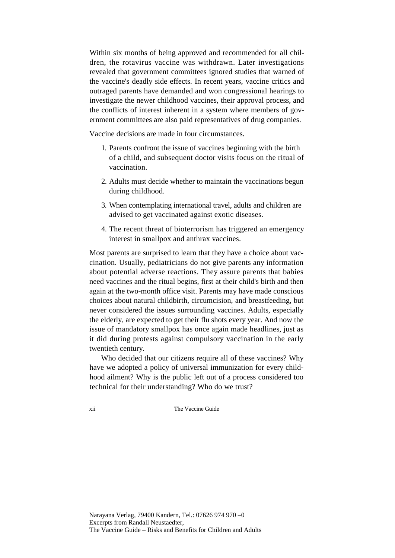Within six months of being approved and recommended for all children, the rotavirus vaccine was withdrawn. Later investigations revealed that government committees ignored studies that warned of the vaccine's deadly side effects. In recent years, vaccine critics and outraged parents have demanded and won congressional hearings to investigate the newer childhood vaccines, their approval process, and the conflicts of interest inherent in a system where members of government committees are also paid representatives of drug companies.

Vaccine decisions are made in four circumstances.

- 1. Parents confront the issue of vaccines beginning with the birth of a child, and subsequent doctor visits focus on the ritual of vaccination.
- 2. Adults must decide whether to maintain the vaccinations begun during childhood.
- 3. When contemplating international travel, adults and children are advised to get vaccinated against exotic diseases.
- 4. The recent threat of bioterrorism has triggered an emergency interest in smallpox and anthrax vaccines.

Most parents are surprised to learn that they have a choice about vaccination. Usually, pediatricians do not give parents any information about potential adverse reactions. They assure parents that babies need vaccines and the ritual begins, first at their child's birth and then again at the two-month office visit. Parents may have made conscious choices about natural childbirth, circumcision, and breastfeeding, but never considered the issues surrounding vaccines. Adults, especially the elderly, are expected to get their flu shots every year. And now the issue of mandatory smallpox has once again made headlines, just as it did during protests against compulsory vaccination in the early twentieth century.

Who decided that our citizens require all of these vaccines? Why have we adopted a policy of universal immunization for every childhood ailment? Why is the public left out of a process considered too technical for their understanding? Who do we trust?

xii The Vaccine Guide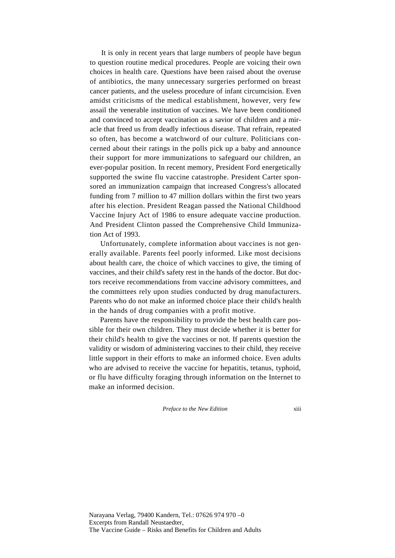It is only in recent years that large numbers of people have begun to question routine medical procedures. People are voicing their own choices in health care. Questions have been raised about the overuse of antibiotics, the many unnecessary surgeries performed on breast cancer patients, and the useless procedure of infant circumcision. Even amidst criticisms of the medical establishment, however, very few assail the venerable institution of vaccines. We have been conditioned and convinced to accept vaccination as a savior of children and a miracle that freed us from deadly infectious disease. That refrain, repeated so often, has become a watchword of our culture. Politicians concerned about their ratings in the polls pick up a baby and announce their support for more immunizations to safeguard our children, an ever-popular position. In recent memory, President Ford energetically supported the swine flu vaccine catastrophe. President Carter sponsored an immunization campaign that increased Congress's allocated funding from 7 million to 47 million dollars within the first two years after his election. President Reagan passed the National Childhood Vaccine Injury Act of 1986 to ensure adequate vaccine production. And President Clinton passed the Comprehensive Child Immunization Act of 1993.

Unfortunately, complete information about vaccines is not generally available. Parents feel poorly informed. Like most decisions about health care, the choice of which vaccines to give, the timing of vaccines, and their child's safety rest in the hands of the doctor. But doctors receive recommendations from vaccine advisory committees, and the committees rely upon studies conducted by drug manufacturers. Parents who do not make an informed choice place their child's health in the hands of drug companies with a profit motive.

Parents have the responsibility to provide the best health care possible for their own children. They must decide whether it is better for their child's health to give the vaccines or not. If parents question the validity or wisdom of administering vaccines to their child, they receive little support in their efforts to make an informed choice. Even adults who are advised to receive the vaccine for hepatitis, tetanus, typhoid, or flu have difficulty foraging through information on the Internet to make an informed decision.

## *Preface to the New Edition* xiii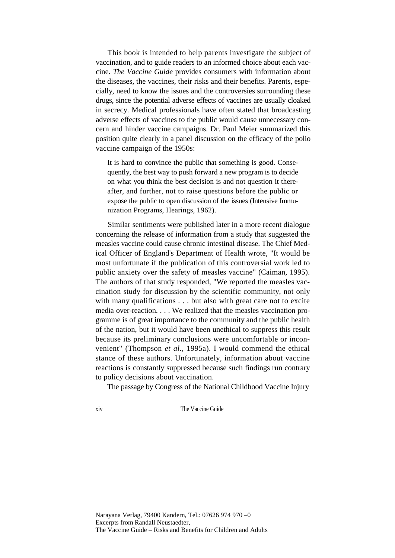This book is intended to help parents investigate the subject of vaccination, and to guide readers to an informed choice about each vaccine. *The Vaccine Guide* provides consumers with information about the diseases, the vaccines, their risks and their benefits. Parents, especially, need to know the issues and the controversies surrounding these drugs, since the potential adverse effects of vaccines are usually cloaked in secrecy. Medical professionals have often stated that broadcasting adverse effects of vaccines to the public would cause unnecessary concern and hinder vaccine campaigns. Dr. Paul Meier summarized this position quite clearly in a panel discussion on the efficacy of the polio vaccine campaign of the 1950s:

It is hard to convince the public that something is good. Consequently, the best way to push forward a new program is to decide on what you think the best decision is and not question it thereafter, and further, not to raise questions before the public or expose the public to open discussion of the issues (Intensive Immunization Programs, Hearings, 1962).

Similar sentiments were published later in a more recent dialogue concerning the release of information from a study that suggested the measles vaccine could cause chronic intestinal disease. The Chief Medical Officer of England's Department of Health wrote, "It would be most unfortunate if the publication of this controversial work led to public anxiety over the safety of measles vaccine" (Caiman, 1995). The authors of that study responded, "We reported the measles vaccination study for discussion by the scientific community, not only with many qualifications . . . but also with great care not to excite media over-reaction. . . . We realized that the measles vaccination programme is of great importance to the community and the public health of the nation, but it would have been unethical to suppress this result because its preliminary conclusions were uncomfortable or inconvenient" (Thompson *et al.,* 1995a). I would commend the ethical stance of these authors. Unfortunately, information about vaccine reactions is constantly suppressed because such findings run contrary to policy decisions about vaccination.

The passage by Congress of the National Childhood Vaccine Injury

xiv The Vaccine Guide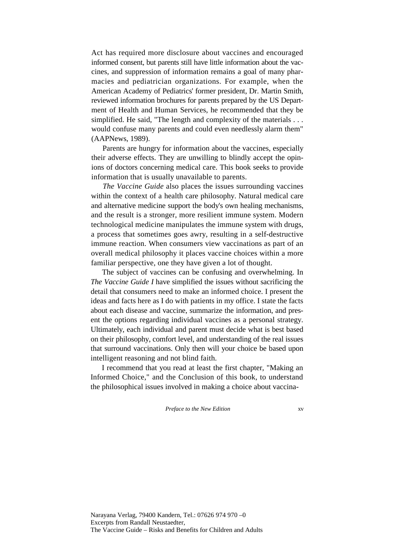Act has required more disclosure about vaccines and encouraged informed consent, but parents still have little information about the vaccines, and suppression of information remains a goal of many pharmacies and pediatrician organizations. For example, when the American Academy of Pediatrics' former president, Dr. Martin Smith, reviewed information brochures for parents prepared by the US Department of Health and Human Services, he recommended that they be simplified. He said, "The length and complexity of the materials . . . would confuse many parents and could even needlessly alarm them" (AAPNews, 1989).

Parents are hungry for information about the vaccines, especially their adverse effects. They are unwilling to blindly accept the opinions of doctors concerning medical care. This book seeks to provide information that is usually unavailable to parents.

*The Vaccine Guide* also places the issues surrounding vaccines within the context of a health care philosophy. Natural medical care and alternative medicine support the body's own healing mechanisms, and the result is a stronger, more resilient immune system. Modern technological medicine manipulates the immune system with drugs, a process that sometimes goes awry, resulting in a self-destructive immune reaction. When consumers view vaccinations as part of an overall medical philosophy it places vaccine choices within a more familiar perspective, one they have given a lot of thought.

The subject of vaccines can be confusing and overwhelming. In *The Vaccine Guide I* have simplified the issues without sacrificing the detail that consumers need to make an informed choice. I present the ideas and facts here as I do with patients in my office. I state the facts about each disease and vaccine, summarize the information, and present the options regarding individual vaccines as a personal strategy. Ultimately, each individual and parent must decide what is best based on their philosophy, comfort level, and understanding of the real issues that surround vaccinations. Only then will your choice be based upon intelligent reasoning and not blind faith.

I recommend that you read at least the first chapter, "Making an Informed Choice," and the Conclusion of this book, to understand the philosophical issues involved in making a choice about vaccina-

*Preface to the New Edition* xv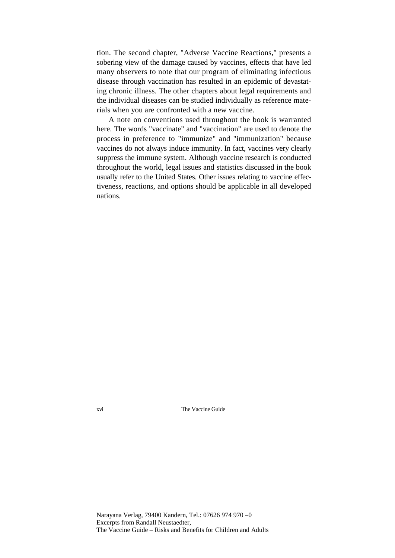tion. The second chapter, "Adverse Vaccine Reactions," presents a sobering view of the damage caused by vaccines, effects that have led many observers to note that our program of eliminating infectious disease through vaccination has resulted in an epidemic of devastating chronic illness. The other chapters about legal requirements and the individual diseases can be studied individually as reference materials when you are confronted with a new vaccine.

A note on conventions used throughout the book is warranted here. The words "vaccinate" and "vaccination" are used to denote the process in preference to "immunize" and "immunization" because vaccines do not always induce immunity. In fact, vaccines very clearly suppress the immune system. Although vaccine research is conducted throughout the world, legal issues and statistics discussed in the book usually refer to the United States. Other issues relating to vaccine effectiveness, reactions, and options should be applicable in all developed nations.

xvi The Vaccine Guide